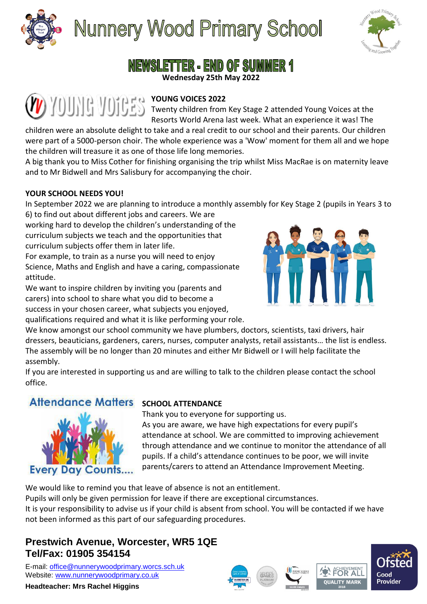

**Nunnery Wood Primary School** 



# NEWSLETTER - END OF SUMMER 1

**Wednesday 25th May 2022**

#### **YOUNG VOICES 2022**

Twenty children from Key Stage 2 attended Young Voices at the Resorts World Arena last week. What an experience it was! The

children were an absolute delight to take and a real credit to our school and their parents. Our children were part of a 5000-person choir. The whole experience was a 'Wow' moment for them all and we hope the children will treasure it as one of those life long memories.

A big thank you to Miss Cother for finishing organising the trip whilst Miss MacRae is on maternity leave and to Mr Bidwell and Mrs Salisbury for accompanying the choir.

#### **YOUR SCHOOL NEEDS YOU!**

In September 2022 we are planning to introduce a monthly assembly for Key Stage 2 (pupils in Years 3 to

6) to find out about different jobs and careers. We are working hard to develop the children's understanding of the curriculum subjects we teach and the opportunities that curriculum subjects offer them in later life.

For example, to train as a nurse you will need to enjoy Science, Maths and English and have a caring, compassionate attitude.

We want to inspire children by inviting you (parents and carers) into school to share what you did to become a success in your chosen career, what subjects you enjoyed,

qualifications required and what it is like performing your role.



We know amongst our school community we have plumbers, doctors, scientists, taxi drivers, hair dressers, beauticians, gardeners, carers, nurses, computer analysts, retail assistants… the list is endless. The assembly will be no longer than 20 minutes and either Mr Bidwell or I will help facilitate the assembly.

If you are interested in supporting us and are willing to talk to the children please contact the school office.

## **Attendance Matters**



### **SCHOOL ATTENDANCE**

Thank you to everyone for supporting us. As you are aware, we have high expectations for every pupil's attendance at school. We are committed to improving achievement through attendance and we continue to monitor the attendance of all pupils. If a child's attendance continues to be poor, we will invite parents/carers to attend an Attendance Improvement Meeting.

We would like to remind you that leave of absence is not an entitlement.

Pupils will only be given permission for leave if there are exceptional circumstances. It is your responsibility to advise us if your child is absent from school. You will be contacted if we have

#### not been informed as this part of our safeguarding procedures.

## **Prestwich Avenue, Worcester, WR5 1QE Tel/Fax: 01905 354154**

E-mail: [office@nunnerywoodprimary.worcs.sch.uk](mailto:office@nunnerywoodprimary.worcs.sch.uk) Website: [www.nunnerywoodprimary.co.uk](http://www.nunnerywoodprimary.worcs.sch.uk/)

#### **Headteacher: Mrs Rachel Higgins**







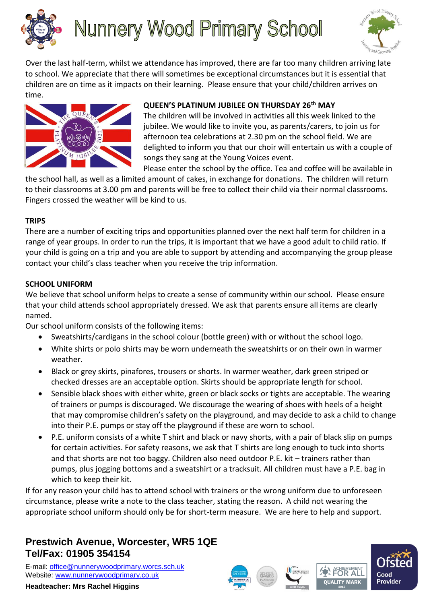

# **Nunnery Wood Primary School**



Over the last half-term, whilst we attendance has improved, there are far too many children arriving late to school. We appreciate that there will sometimes be exceptional circumstances but it is essential that children are on time as it impacts on their learning. Please ensure that your child/children arrives on time.



#### **QUEEN'S PLATINUM JUBILEE ON THURSDAY 26th MAY**

The children will be involved in activities all this week linked to the jubilee. We would like to invite you, as parents/carers, to join us for afternoon tea celebrations at 2.30 pm on the school field. We are delighted to inform you that our choir will entertain us with a couple of songs they sang at the Young Voices event.

Please enter the school by the office. Tea and coffee will be available in

the school hall, as well as a limited amount of cakes, in exchange for donations. The children will return to their classrooms at 3.00 pm and parents will be free to collect their child via their normal classrooms. Fingers crossed the weather will be kind to us.

#### **TRIPS**

There are a number of exciting trips and opportunities planned over the next half term for children in a range of year groups. In order to run the trips, it is important that we have a good adult to child ratio. If your child is going on a trip and you are able to support by attending and accompanying the group please contact your child's class teacher when you receive the trip information.

#### **SCHOOL UNIFORM**

We believe that school uniform helps to create a sense of community within our school. Please ensure that your child attends school appropriately dressed. We ask that parents ensure all items are clearly named.

Our school uniform consists of the following items:

- Sweatshirts/cardigans in the school colour (bottle green) with or without the school logo.
- White shirts or polo shirts may be worn underneath the sweatshirts or on their own in warmer weather.
- Black or grey skirts, pinafores, trousers or shorts. In warmer weather, dark green striped or checked dresses are an acceptable option. Skirts should be appropriate length for school.
- Sensible black shoes with either white, green or black socks or tights are acceptable. The wearing of trainers or pumps is discouraged. We discourage the wearing of shoes with heels of a height that may compromise children's safety on the playground, and may decide to ask a child to change into their P.E. pumps or stay off the playground if these are worn to school.
- P.E. uniform consists of a white T shirt and black or navy shorts, with a pair of black slip on pumps for certain activities. For safety reasons, we ask that T shirts are long enough to tuck into shorts and that shorts are not too baggy. Children also need outdoor P.E. kit – trainers rather than pumps, plus jogging bottoms and a sweatshirt or a tracksuit. All children must have a P.E. bag in which to keep their kit.

If for any reason your child has to attend school with trainers or the wrong uniform due to unforeseen circumstance, please write a note to the class teacher, stating the reason. A child not wearing the appropriate school uniform should only be for short-term measure. We are here to help and support.

## **Prestwich Avenue, Worcester, WR5 1QE Tel/Fax: 01905 354154**

E-mail: [office@nunnerywoodprimary.worcs.sch.uk](mailto:office@nunnerywoodprimary.worcs.sch.uk) Website: [www.nunnerywoodprimary.co.uk](http://www.nunnerywoodprimary.worcs.sch.uk/)

**Headteacher: Mrs Rachel Higgins**